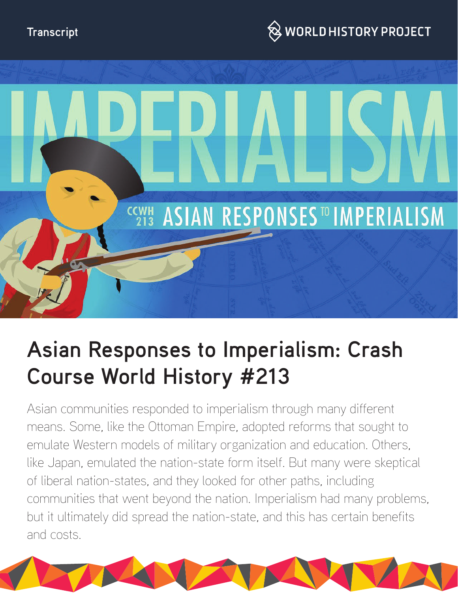## **Transcript**





# **Asian Responses to Imperialism: Crash Course World History #213**

Asian communities responded to imperialism through many different means. Some, like the Ottoman Empire, adopted reforms that sought to emulate Western models of military organization and education. Others, like Japan, emulated the nation-state form itself. But many were skeptical of liberal nation-states, and they looked for other paths, including communities that went beyond the nation. Imperialism had many problems, but it ultimately did spread the nation-state, and this has certain benefits and costs.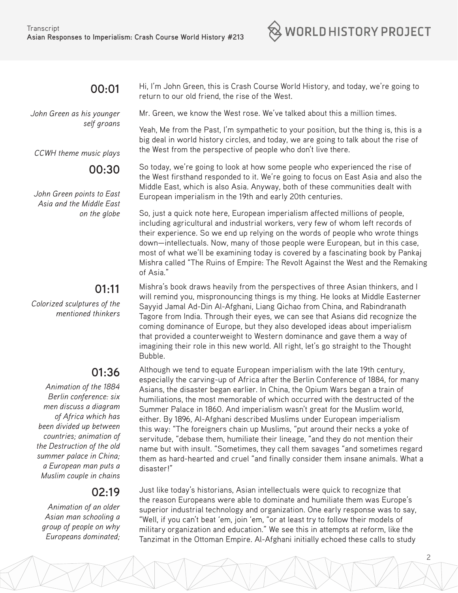

#### **00:01**

*John Green as his younger self groans*

*CCWH theme music plays*

#### **00:30**

*John Green points to East Asia and the Middle East on the globe*

### **01:11**

*Colorized sculptures of the mentioned thinkers*

# **01:36**

*Animation of the 1884 Berlin conference: six men discuss a diagram of Africa which has been divided up between countries; animation of the Destruction of the old summer palace in China; a European man puts a Muslim couple in chains*

# **02:19**

*Animation of an older Asian man schooling a group of people on why Europeans dominated;*  Hi, I'm John Green, this is Crash Course World History, and today, we're going to return to our old friend, the rise of the West.

Mr. Green, we know the West rose. We've talked about this a million times.

Yeah, Me from the Past, I'm sympathetic to your position, but the thing is, this is a big deal in world history circles, and today, we are going to talk about the rise of the West from the perspective of people who don't live there.

So today, we're going to look at how some people who experienced the rise of the West firsthand responded to it. We're going to focus on East Asia and also the Middle East, which is also Asia. Anyway, both of these communities dealt with European imperialism in the 19th and early 20th centuries.

So, just a quick note here, European imperialism affected millions of people, including agricultural and industrial workers, very few of whom left records of their experience. So we end up relying on the words of people who wrote things down—intellectuals. Now, many of those people were European, but in this case, most of what we'll be examining today is covered by a fascinating book by Pankaj Mishra called "The Ruins of Empire: The Revolt Against the West and the Remaking of Asia."

Mishra's book draws heavily from the perspectives of three Asian thinkers, and I will remind you, mispronouncing things is my thing. He looks at Middle Easterner Sayyid Jamal Ad-Din Al-Afghani, Liang Qichao from China, and Rabindranath Tagore from India. Through their eyes, we can see that Asians did recognize the coming dominance of Europe, but they also developed ideas about imperialism that provided a counterweight to Western dominance and gave them a way of imagining their role in this new world. All right, let's go straight to the Thought Bubble.

Although we tend to equate European imperialism with the late 19th century, especially the carving-up of Africa after the Berlin Conference of 1884, for many Asians, the disaster began earlier. In China, the Opium Wars began a train of humiliations, the most memorable of which occurred with the destructed of the Summer Palace in 1860. And imperialism wasn't great for the Muslim world, either. By 1896, Al-Afghani described Muslims under European imperialism this way: "The foreigners chain up Muslims, "put around their necks a yoke of servitude, "debase them, humiliate their lineage, "and they do not mention their name but with insult. "Sometimes, they call them savages "and sometimes regard them as hard-hearted and cruel "and finally consider them insane animals. What a disaster!"

Just like today's historians, Asian intellectuals were quick to recognize that the reason Europeans were able to dominate and humiliate them was Europe's superior industrial technology and organization. One early response was to say, "Well, if you can't beat 'em, join 'em, "or at least try to follow their models of military organization and education." We see this in attempts at reform, like the Tanzimat in the Ottoman Empire. Al-Afghani initially echoed these calls to study

2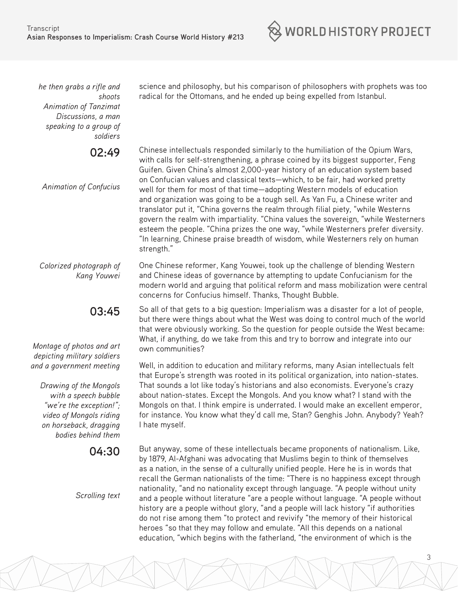$\otimes$  world history project

*he then grabs a rifle and shoots Animation of Tanzimat Discussions, a man speaking to a group of soldiers*

**02:49** 

*Animation of Confucius*

Chinese intellectuals responded similarly to the humiliation of the Opium Wars, with calls for self-strengthening, a phrase coined by its biggest supporter, Feng Guifen. Given China's almost 2,000-year history of an education system based on Confucian values and classical texts—which, to be fair, had worked pretty well for them for most of that time—adopting Western models of education and organization was going to be a tough sell. As Yan Fu, a Chinese writer and translator put it, "China governs the realm through filial piety, "while Westerns govern the realm with impartiality. "China values the sovereign, "while Westerners esteem the people. "China prizes the one way, "while Westerners prefer diversity. "In learning, Chinese praise breadth of wisdom, while Westerners rely on human strength."

science and philosophy, but his comparison of philosophers with prophets was too

radical for the Ottomans, and he ended up being expelled from Istanbul.

*Colorized photograph of Kang Youwei* One Chinese reformer, Kang Youwei, took up the challenge of blending Western and Chinese ideas of governance by attempting to update Confucianism for the modern world and arguing that political reform and mass mobilization were central concerns for Confucius himself. Thanks, Thought Bubble.

> So all of that gets to a big question: Imperialism was a disaster for a lot of people, but there were things about what the West was doing to control much of the world that were obviously working. So the question for people outside the West became: What, if anything, do we take from this and try to borrow and integrate into our own communities?

Well, in addition to education and military reforms, many Asian intellectuals felt that Europe's strength was rooted in its political organization, into nation-states. That sounds a lot like today's historians and also economists. Everyone's crazy about nation-states. Except the Mongols. And you know what? I stand with the Mongols on that. I think empire is underrated. I would make an excellent emperor, for instance. You know what they'd call me, Stan? Genghis John. Anybody? Yeah? I hate myself.

But anyway, some of these intellectuals became proponents of nationalism. Like, by 1879, Al-Afghani was advocating that Muslims begin to think of themselves as a nation, in the sense of a culturally unified people. Here he is in words that recall the German nationalists of the time: "There is no happiness except through nationality, "and no nationality except through language. "A people without unity and a people without literature "are a people without language. "A people without history are a people without glory, "and a people will lack history "if authorities do not rise among them "to protect and revivify "the memory of their historical heroes "so that they may follow and emulate. "All this depends on a national education, "which begins with the fatherland, "the environment of which is the

*Montage of photos and art depicting military soldiers and a government meeting*

> *Drawing of the Mongols with a speech bubble "we're the exception!"; video of Mongols riding on horseback, dragging bodies behind them*

> > **04:30**

**03:45** 

*Scrolling text*

3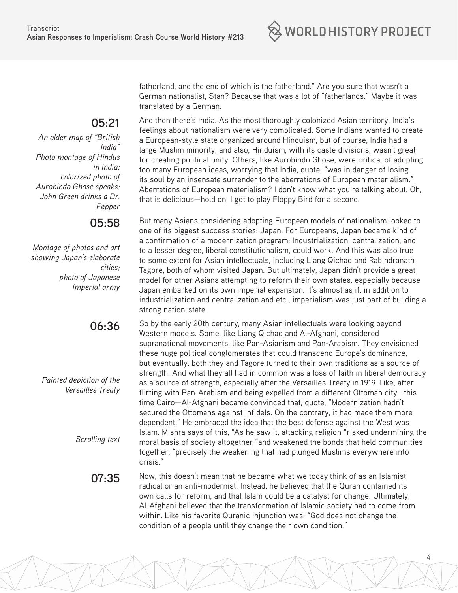$\otimes$  world history project

fatherland, and the end of which is the fatherland." Are you sure that wasn't a German nationalist, Stan? Because that was a lot of "fatherlands." Maybe it was translated by a German.

**05:21** 

*An older map of "British India" Photo montage of Hindus in India; colorized photo of Aurobindo Ghose speaks: John Green drinks a Dr. Pepper*

**05:58** 

*Montage of photos and art showing Japan's elaborate cities; photo of Japanese Imperial army*

# **06:36**

*Painted depiction of the Versailles Treaty*

*Scrolling text*

And then there's India. As the most thoroughly colonized Asian territory, India's

feelings about nationalism were very complicated. Some Indians wanted to create a European-style state organized around Hinduism, but of course, India had a large Muslim minority, and also, Hinduism, with its caste divisions, wasn't great for creating political unity. Others, like Aurobindo Ghose, were critical of adopting too many European ideas, worrying that India, quote, "was in danger of losing its soul by an insensate surrender to the aberrations of European materialism." Aberrations of European materialism? I don't know what you're talking about. Oh, that is delicious—hold on, I got to play Floppy Bird for a second.

But many Asians considering adopting European models of nationalism looked to one of its biggest success stories: Japan. For Europeans, Japan became kind of a confirmation of a modernization program: Industrialization, centralization, and to a lesser degree, liberal constitutionalism, could work. And this was also true to some extent for Asian intellectuals, including Liang Qichao and Rabindranath Tagore, both of whom visited Japan. But ultimately, Japan didn't provide a great model for other Asians attempting to reform their own states, especially because Japan embarked on its own imperial expansion. It's almost as if, in addition to industrialization and centralization and etc., imperialism was just part of building a strong nation-state.

So by the early 20th century, many Asian intellectuals were looking beyond Western models. Some, like Liang Qichao and Al-Afghani, considered supranational movements, like Pan-Asianism and Pan-Arabism. They envisioned these huge political conglomerates that could transcend Europe's dominance, but eventually, both they and Tagore turned to their own traditions as a source of strength. And what they all had in common was a loss of faith in liberal democracy as a source of strength, especially after the Versailles Treaty in 1919. Like, after flirting with Pan-Arabism and being expelled from a different Ottoman city—this time Cairo—Al-Afghani became convinced that, quote, "Modernization hadn't secured the Ottomans against infidels. On the contrary, it had made them more dependent." He embraced the idea that the best defense against the West was Islam. Mishra says of this, "As he saw it, attacking religion "risked undermining the moral basis of society altogether "and weakened the bonds that held communities together, "precisely the weakening that had plunged Muslims everywhere into crisis."

4

**07:35** Now, this doesn't mean that he became what we today think of as an Islamist radical or an anti-modernist. Instead, he believed that the Quran contained its own calls for reform, and that Islam could be a catalyst for change. Ultimately, Al-Afghani believed that the transformation of Islamic society had to come from within. Like his favorite Quranic injunction was: "God does not change the condition of a people until they change their own condition."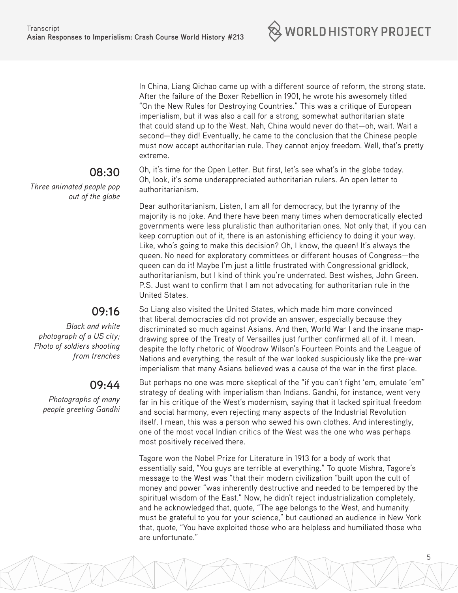

In China, Liang Qichao came up with a different source of reform, the strong state. After the failure of the Boxer Rebellion in 1901, he wrote his awesomely titled "On the New Rules for Destroying Countries." This was a critique of European imperialism, but it was also a call for a strong, somewhat authoritarian state that could stand up to the West. Nah, China would never do that—oh, wait. Wait a second—they did! Eventually, he came to the conclusion that the Chinese people must now accept authoritarian rule. They cannot enjoy freedom. Well, that's pretty extreme.

Oh, it's time for the Open Letter. But first, let's see what's in the globe today. Oh, look, it's some underappreciated authoritarian rulers. An open letter to authoritarianism.

Dear authoritarianism, Listen, I am all for democracy, but the tyranny of the majority is no joke. And there have been many times when democratically elected governments were less pluralistic than authoritarian ones. Not only that, if you can keep corruption out of it, there is an astonishing efficiency to doing it your way. Like, who's going to make this decision? Oh, I know, the queen! It's always the queen. No need for exploratory committees or different houses of Congress—the queen can do it! Maybe I'm just a little frustrated with Congressional gridlock, authoritarianism, but I kind of think you're underrated. Best wishes, John Green. P.S. Just want to confirm that I am not advocating for authoritarian rule in the United States.

So Liang also visited the United States, which made him more convinced that liberal democracies did not provide an answer, especially because they discriminated so much against Asians. And then, World War I and the insane mapdrawing spree of the Treaty of Versailles just further confirmed all of it. I mean, despite the lofty rhetoric of Woodrow Wilson's Fourteen Points and the League of Nations and everything, the result of the war looked suspiciously like the pre-war imperialism that many Asians believed was a cause of the war in the first place.

But perhaps no one was more skeptical of the "if you can't fight 'em, emulate 'em" strategy of dealing with imperialism than Indians. Gandhi, for instance, went very far in his critique of the West's modernism, saying that it lacked spiritual freedom and social harmony, even rejecting many aspects of the Industrial Revolution itself. I mean, this was a person who sewed his own clothes. And interestingly, one of the most vocal Indian critics of the West was the one who was perhaps most positively received there.

Tagore won the Nobel Prize for Literature in 1913 for a body of work that essentially said, "You guys are terrible at everything." To quote Mishra, Tagore's message to the West was "that their modern civilization "built upon the cult of money and power "was inherently destructive and needed to be tempered by the spiritual wisdom of the East." Now, he didn't reject industrialization completely, and he acknowledged that, quote, "The age belongs to the West, and humanity must be grateful to you for your science," but cautioned an audience in New York that, quote, "You have exploited those who are helpless and humiliated those who are unfortunate."

#### **08:30**

*Three animated people pop out of the globe*

# **09:16**

*Black and white photograph of a US city; Photo of soldiers shooting from trenches*

### **09:44**

*Photographs of many people greeting Gandhi*